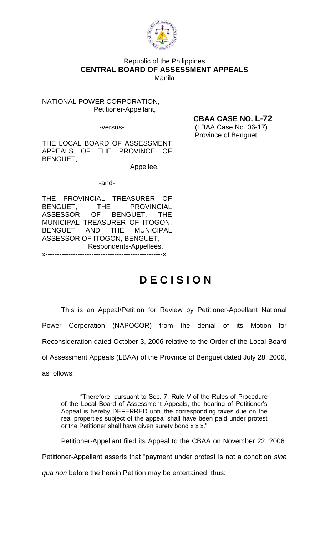

## Republic of the Philippines **CENTRAL BOARD OF ASSESSMENT APPEALS** Manila

NATIONAL POWER CORPORATION, Petitioner-Appellant,

 **CBAA CASE NO. L-72** -versus- (LBAA Case No. 06-17) Province of Benguet

THE LOCAL BOARD OF ASSESSMENT APPEALS OF THE PROVINCE OF BENGUET,

Appellee,

## -and-

THE PROVINCIAL TREASURER OF BENGUET, THE PROVINCIAL ASSESSOR OF BENGUET, THE MUNICIPAL TREASURER OF ITOGON, BENGUET AND THE MUNICIPAL ASSESSOR OF ITOGON, BENGUET, Respondents-Appellees. x---------------------------------------------------x

## **D E C I S I O N**

This is an Appeal/Petition for Review by Petitioner-Appellant National Power Corporation (NAPOCOR) from the denial of its Motion for Reconsideration dated October 3, 2006 relative to the Order of the Local Board of Assessment Appeals (LBAA) of the Province of Benguet dated July 28, 2006, as follows:

"Therefore, pursuant to Sec. 7, Rule V of the Rules of Procedure of the Local Board of Assessment Appeals, the hearing of Petitioner's Appeal is hereby DEFERRED until the corresponding taxes due on the real properties subject of the appeal shall have been paid under protest or the Petitioner shall have given surety bond x x x."

Petitioner-Appellant filed its Appeal to the CBAA on November 22, 2006. Petitioner-Appellant asserts that "payment under protest is not a condition *sine qua non* before the herein Petition may be entertained, thus: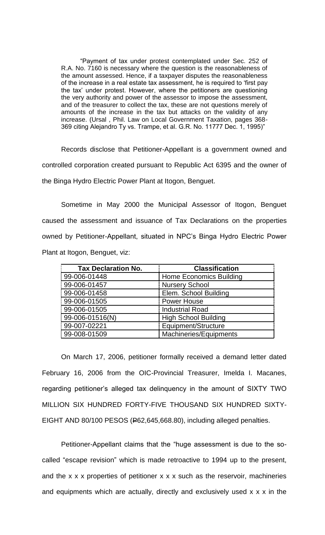"Payment of tax under protest contemplated under Sec. 252 of R.A. No. 7160 is necessary where the question is the reasonableness of the amount assessed. Hence, if a taxpayer disputes the reasonableness of the increase in a real estate tax assessment, he is required to 'first pay the tax' under protest. However, where the petitioners are questioning the very authority and power of the assessor to impose the assessment, and of the treasurer to collect the tax, these are not questions merely of amounts of the increase in the tax but attacks on the validity of any increase. (Ursal , Phil. Law on Local Government Taxation, pages 368- 369 citing Alejandro Ty vs. Trampe, et al. G.R. No. 11777 Dec. 1, 1995)"

Records disclose that Petitioner-Appellant is a government owned and controlled corporation created pursuant to Republic Act 6395 and the owner of the Binga Hydro Electric Power Plant at Itogon, Benguet.

Sometime in May 2000 the Municipal Assessor of Itogon, Benguet caused the assessment and issuance of Tax Declarations on the properties owned by Petitioner-Appellant, situated in NPC's Binga Hydro Electric Power Plant at Itogon, Benguet, viz:

| <b>Tax Declaration No.</b> | <b>Classification</b>          |
|----------------------------|--------------------------------|
| 99-006-01448               | <b>Home Economics Building</b> |
| 99-006-01457               | <b>Nursery School</b>          |
| 99-006-01458               | Elem. School Building          |
| 99-006-01505               | <b>Power House</b>             |
| 99-006-01505               | <b>Industrial Road</b>         |
| 99-006-01516(N)            | <b>High School Building</b>    |
| 99-007-02221               | Equipment/Structure            |
| 99-008-01509               | Machineries/Equipments         |

On March 17, 2006, petitioner formally received a demand letter dated February 16, 2006 from the OIC-Provincial Treasurer, Imelda I. Macanes, regarding petitioner's alleged tax delinquency in the amount of SIXTY TWO MILLION SIX HUNDRED FORTY-FIVE THOUSAND SIX HUNDRED SIXTY-EIGHT AND 80/100 PESOS (P62,645,668.80), including alleged penalties.

Petitioner-Appellant claims that the "huge assessment is due to the socalled "escape revision" which is made retroactive to 1994 up to the present, and the  $x \times x$  properties of petitioner  $x \times x$  such as the reservoir, machineries and equipments which are actually, directly and exclusively used x x x in the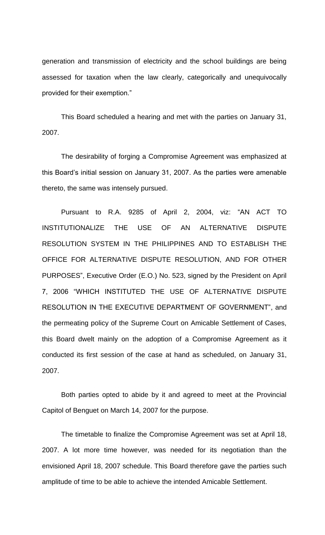generation and transmission of electricity and the school buildings are being assessed for taxation when the law clearly, categorically and unequivocally provided for their exemption."

This Board scheduled a hearing and met with the parties on January 31, 2007.

The desirability of forging a Compromise Agreement was emphasized at this Board's initial session on January 31, 2007. As the parties were amenable thereto, the same was intensely pursued.

Pursuant to R.A. 9285 of April 2, 2004, viz: "AN ACT TO INSTITUTIONALIZE THE USE OF AN ALTERNATIVE DISPUTE RESOLUTION SYSTEM IN THE PHILIPPINES AND TO ESTABLISH THE OFFICE FOR ALTERNATIVE DISPUTE RESOLUTION, AND FOR OTHER PURPOSES", Executive Order (E.O.) No. 523, signed by the President on April 7, 2006 "WHICH INSTITUTED THE USE OF ALTERNATIVE DISPUTE RESOLUTION IN THE EXECUTIVE DEPARTMENT OF GOVERNMENT", and the permeating policy of the Supreme Court on Amicable Settlement of Cases, this Board dwelt mainly on the adoption of a Compromise Agreement as it conducted its first session of the case at hand as scheduled, on January 31, 2007.

Both parties opted to abide by it and agreed to meet at the Provincial Capitol of Benguet on March 14, 2007 for the purpose.

The timetable to finalize the Compromise Agreement was set at April 18, 2007. A lot more time however, was needed for its negotiation than the envisioned April 18, 2007 schedule. This Board therefore gave the parties such amplitude of time to be able to achieve the intended Amicable Settlement.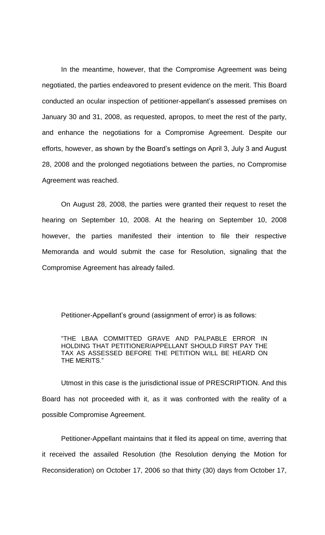In the meantime, however, that the Compromise Agreement was being negotiated, the parties endeavored to present evidence on the merit. This Board conducted an ocular inspection of petitioner-appellant's assessed premises on January 30 and 31, 2008, as requested, apropos, to meet the rest of the party, and enhance the negotiations for a Compromise Agreement. Despite our efforts, however, as shown by the Board's settings on April 3, July 3 and August 28, 2008 and the prolonged negotiations between the parties, no Compromise Agreement was reached.

On August 28, 2008, the parties were granted their request to reset the hearing on September 10, 2008. At the hearing on September 10, 2008 however, the parties manifested their intention to file their respective Memoranda and would submit the case for Resolution, signaling that the Compromise Agreement has already failed.

Petitioner-Appellant's ground (assignment of error) is as follows:

"THE LBAA COMMITTED GRAVE AND PALPABLE ERROR IN HOLDING THAT PETITIONER/APPELLANT SHOULD FIRST PAY THE TAX AS ASSESSED BEFORE THE PETITION WILL BE HEARD ON THE MERITS."

Utmost in this case is the jurisdictional issue of PRESCRIPTION. And this Board has not proceeded with it, as it was confronted with the reality of a possible Compromise Agreement.

Petitioner-Appellant maintains that it filed its appeal on time, averring that it received the assailed Resolution (the Resolution denying the Motion for Reconsideration) on October 17, 2006 so that thirty (30) days from October 17,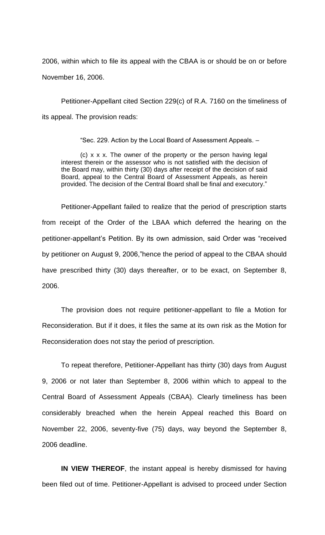2006, within which to file its appeal with the CBAA is or should be on or before November 16, 2006.

Petitioner-Appellant cited Section 229(c) of R.A. 7160 on the timeliness of its appeal. The provision reads:

"Sec. 229. Action by the Local Board of Assessment Appeals. –

(c) x x x. The owner of the property or the person having legal interest therein or the assessor who is not satisfied with the decision of the Board may, within thirty (30) days after receipt of the decision of said Board, appeal to the Central Board of Assessment Appeals, as herein provided. The decision of the Central Board shall be final and executory."

Petitioner-Appellant failed to realize that the period of prescription starts from receipt of the Order of the LBAA which deferred the hearing on the petitioner-appellant's Petition. By its own admission, said Order was "received by petitioner on August 9, 2006,"hence the period of appeal to the CBAA should have prescribed thirty (30) days thereafter, or to be exact, on September 8, 2006.

The provision does not require petitioner-appellant to file a Motion for Reconsideration. But if it does, it files the same at its own risk as the Motion for Reconsideration does not stay the period of prescription.

To repeat therefore, Petitioner-Appellant has thirty (30) days from August 9, 2006 or not later than September 8, 2006 within which to appeal to the Central Board of Assessment Appeals (CBAA). Clearly timeliness has been considerably breached when the herein Appeal reached this Board on November 22, 2006, seventy-five (75) days, way beyond the September 8, 2006 deadline.

**IN VIEW THEREOF**, the instant appeal is hereby dismissed for having been filed out of time. Petitioner-Appellant is advised to proceed under Section